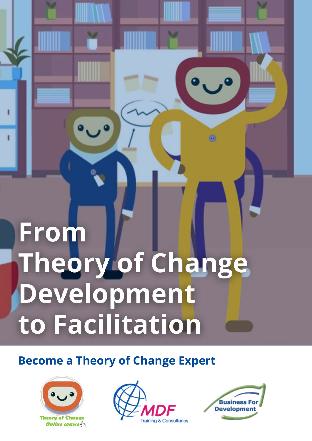# From Theory of Change Development to Facilitation

# **Become a Theory of Change Expert**







O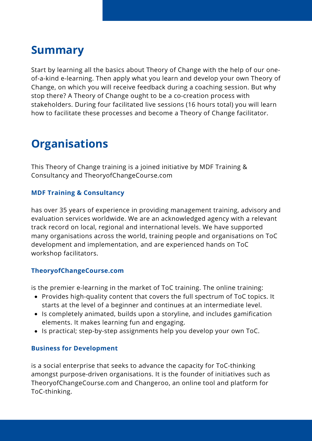### **Summary**

Start by learning all the basics about Theory of Change with the help of our oneof-a-kind e-learning. Then apply what you learn and develop your own Theory of Change, on which you will receive feedback during a coaching session. But why stop there? A Theory of Change ought to be a co-creation process with stakeholders. During four facilitated live sessions (16 hours total) you will learn how to facilitate these processes and become a Theory of Change facilitator.

# **Organisations**

This Theory of Change training is a joined initiative by MDF Training & Consultancy and TheoryofChangeCourse.com

#### **MDF Training & Consultancy**

has over 35 years of experience in providing management training, advisory and evaluation services worldwide. We are an acknowledged agency with a relevant track record on local, regional and international levels. We have supported many organisations across the world, training people and organisations on ToC development and implementation, and are experienced hands on ToC workshop facilitators.

#### **TheoryofChangeCourse.com**

is the premier e-learning in the market of ToC training. The online training:

- Provides high-quality content that covers the full spectrum of ToC topics. It starts at the level of a beginner and continues at an intermediate level.
- Is completely animated, builds upon a storyline, and includes gamification elements. It makes learning fun and engaging.
- Is practical; step-by-step assignments help you develop your own ToC.

#### **Business for Development**

is a social enterprise that seeks to advance the capacity for ToC-thinking amongst purpose-driven organisations. It is the founder of initiatives such as TheoryofChangeCourse.com and Changeroo, an online tool and platform for ToC-thinking.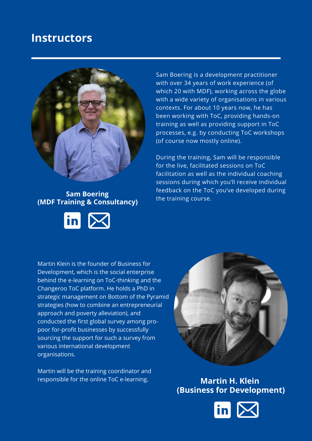### **Instructors**



#### **Sam Boering (MDF Training & Consultancy)**



Sam Boering is a development practitioner with over 34 years of work experience (of which 20 with MDF), working across the globe with a wide variety of organisations in various contexts. For about 10 years now, he has been working with ToC, providing hands-on training as well as providing support in ToC processes, e.g. by conducting ToC workshops (of course now mostly online).

During the training, Sam will be responsible for the live, facilitated sessions on ToC facilitation as well as the individual coaching sessions during which you'll receive individual feedback on the ToC you've developed during the training course.

Martin Klein is the founder of Business for Development, which is the social enterprise behind the e-learning on ToC-thinking and the Changeroo ToC platform. He holds a PhD in strategic management on Bottom of the Pyramid strategies (how to combine an entrepreneurial approach and poverty alleviation), and conducted the first global survey among propoor for-profit businesses by successfully sourcing the support for such a survey from various international development organisations.

Martin will be the training coordinator and responsible for the online ToC e-learning.



**Martin H. Klein (Business for Development)**

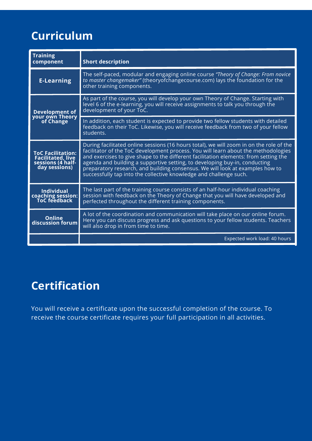# **Curriculum**

| <b>Training</b><br>component                                                               | <b>Short description</b>                                                                                                                                                                                                                                                                                                                                                                                                                                                                                   |  |
|--------------------------------------------------------------------------------------------|------------------------------------------------------------------------------------------------------------------------------------------------------------------------------------------------------------------------------------------------------------------------------------------------------------------------------------------------------------------------------------------------------------------------------------------------------------------------------------------------------------|--|
| <b>E-Learning</b>                                                                          | The self-paced, modular and engaging online course "Theory of Change: From novice<br>to master changemaker" (theoryofchangecourse.com) lays the foundation for the<br>other training components.                                                                                                                                                                                                                                                                                                           |  |
| <b>Development of<br/>your own Theory<br/>of Change</b>                                    | As part of the course, you will develop your own Theory of Change. Starting with<br>level 6 of the e-learning, you will receive assignments to talk you through the<br>development of your ToC.                                                                                                                                                                                                                                                                                                            |  |
|                                                                                            | In addition, each student is expected to provide two fellow students with detailed<br>feedback on their ToC. Likewise, you will receive feedback from two of your fellow<br>students.                                                                                                                                                                                                                                                                                                                      |  |
| <b>ToC Facilitation:</b><br><b>Facilitated, live</b><br>sessions (4 half-<br>day sessions) | During facilitated online sessions (16 hours total), we will zoom in on the role of the<br>facilitator of the ToC development process. You will learn about the methodologies<br>and exercises to give shape to the different facilitation elements: from setting the<br>agenda and building a supportive setting, to developing buy-in, conducting<br>preparatory research, and building consensus. We will look at examples how to<br>successfully tap into the collective knowledge and challenge such. |  |
| <b>Individual</b><br>coaching session:<br>ToC feedback                                     | The last part of the training course consists of an half-hour individual coaching<br>session with feedback on the Theory of Change that you will have developed and<br>perfected throughout the different training components.                                                                                                                                                                                                                                                                             |  |
| <b>Online</b><br>discussion forum                                                          | A lot of the coordination and communication will take place on our online forum.<br>Here you can discuss progress and ask questions to your fellow students. Teachers<br>will also drop in from time to time.                                                                                                                                                                                                                                                                                              |  |
|                                                                                            | Expected work load: 40 hours                                                                                                                                                                                                                                                                                                                                                                                                                                                                               |  |

# **Certification**

You will receive a certificate upon the successful completion of the course. To receive the course certificate requires your full participation in all activities.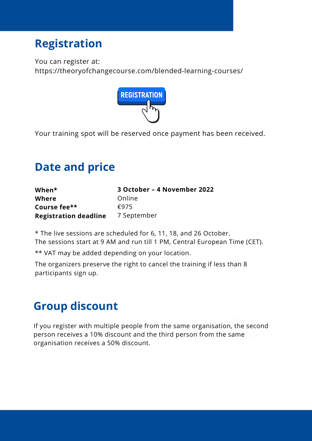### **Registration**

You can register at:

https://theoryofchangecourse.com/blended-learning-courses/



Your training spot will be reserved once payment has been received.

### **Date and price**

| When*                        | 3 October - 4 November 2022 |
|------------------------------|-----------------------------|
| Where                        | Online                      |
| Course fee**                 | £975                        |
| <b>Registration deadline</b> | 7 September                 |

\* The live sessions are scheduled for 6, 11, 18, and 26 October. The sessions start at 9 AM and run till 1 PM, Central European Time (CET).

\*\* VAT may be added depending on your location.

The organizers preserve the right to cancel the training if less than 8 participants sign up.

# **Group discount**

If you register with multiple people from the same organisation, the second person receives a 10% discount and the third person from the same organisation receives a 50% discount.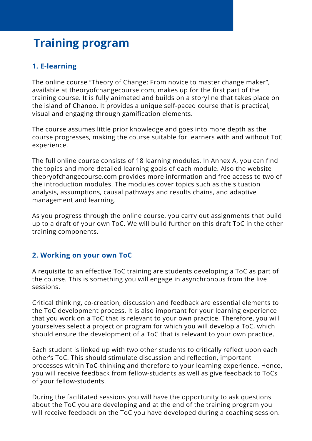### **Training program**

#### **1. E-learning**

The online course "Theory of Change: From novice to master change maker", available at theoryofchangecourse.com, makes up for the first part of the training course. It is fully animated and builds on a storyline that takes place on the island of Chanoo. It provides a unique self-paced course that is practical, visual and engaging through gamification elements.

The course assumes little prior knowledge and goes into more depth as the course progresses, making the course suitable for learners with and without ToC experience.

The full online course consists of 18 learning modules. In Annex A, you can find the topics and more detailed learning goals of each module. Also the website theoryofchangecourse.com provides more information and free access to two of the introduction modules. The modules cover topics such as the situation analysis, assumptions, causal pathways and results chains, and adaptive management and learning.

As you progress through the online course, you carry out assignments that build up to a draft of your own ToC. We will build further on this draft ToC in the other training components.

#### **2. Working on your own ToC**

A requisite to an effective ToC training are students developing a ToC as part of the course. This is something you will engage in asynchronous from the live sessions.

Critical thinking, co-creation, discussion and feedback are essential elements to the ToC development process. It is also important for your learning experience that you work on a ToC that is relevant to your own practice. Therefore, you will yourselves select a project or program for which you will develop a ToC, which should ensure the development of a ToC that is relevant to your own practice.

Each student is linked up with two other students to critically reflect upon each other's ToC. This should stimulate discussion and reflection, important processes within ToC-thinking and therefore to your learning experience. Hence, you will receive feedback from fellow-students as well as give feedback to ToCs of your fellow-students.

During the facilitated sessions you will have the opportunity to ask questions about the ToC you are developing and at the end of the training program you will receive feedback on the ToC you have developed during a coaching session.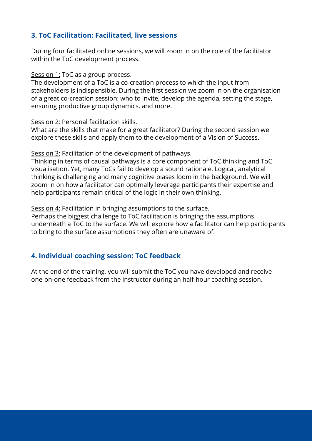#### **3. ToC Facilitation: Facilitated, live sessions**

During four facilitated online sessions, we will zoom in on the role of the facilitator within the ToC development process.

Session 1: ToC as a group process.

The development of a ToC is a co-creation process to which the input from stakeholders is indispensible. During the first session we zoom in on the organisation of a great co-creation session: who to invite, develop the agenda, setting the stage, ensuring productive group dynamics, and more.

Session 2: Personal facilitation skills.

What are the skills that make for a great facilitator? During the second session we explore these skills and apply them to the development of a Vision of Success.

Session 3: Facilitation of the development of pathways.

Thinking in terms of causal pathways is a core component of ToC thinking and ToC visualisation. Yet, many ToCs fail to develop a sound rationale. Logical, analytical thinking is challenging and many cognitive biases loom in the background. We will zoom in on how a facilitator can optimally leverage participants their expertise and help participants remain critical of the logic in their own thinking.

Session 4: Facilitation in bringing assumptions to the surface.

Perhaps the biggest challenge to ToC facilitation is bringing the assumptions underneath a ToC to the surface. We will explore how a facilitator can help participants to bring to the surface assumptions they often are unaware of.

#### **4. Individual coaching session: ToC feedback**

At the end of the training, you will submit the ToC you have developed and receive one-on-one feedback from the instructor during an half-hour coaching session.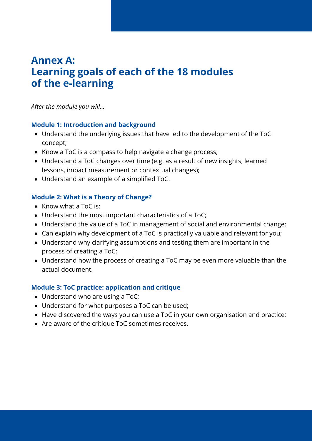### **Annex A: Learning goals of each of the 18 modules of the e-learning**

*After the module you will...*

#### **Module 1: Introduction and background**

- Understand the underlying issues that have led to the development of the ToC concept;
- Know a ToC is a compass to help navigate a change process;
- Understand a ToC changes over time (e.g. as a result of new insights, learned lessons, impact measurement or contextual changes);
- Understand an example of a simplified ToC.

#### **Module 2: What is a Theory of Change?**

- Know what a ToC is;
- Understand the most important characteristics of a ToC;
- Understand the value of a ToC in management of social and environmental change;
- Can explain why development of a ToC is practically valuable and relevant for you;
- Understand why clarifying assumptions and testing them are important in the process of creating a ToC;
- Understand how the process of creating a ToC may be even more valuable than the actual document.

#### **Module 3: ToC practice: application and critique**

- Understand who are using a ToC;
- Understand for what purposes a ToC can be used;
- Have discovered the ways you can use a ToC in your own organisation and practice;
- Are aware of the critique ToC sometimes receives.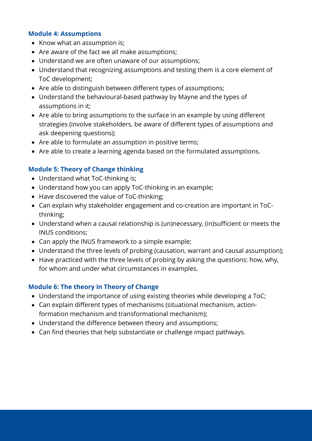#### **Module 4: Assumptions**

- Know what an assumption is;
- Are aware of the fact we all make assumptions;
- Understand we are often unaware of our assumptions;
- Understand that recognizing assumptions and testing them is a core element of ToC development;
- Are able to distinguish between different types of assumptions;
- Understand the behavioural-based pathway by Mayne and the types of assumptions in it;
- Are able to bring assumptions to the surface in an example by using different strategies (involve stakeholders, be aware of different types of assumptions and ask deepening questions);
- Are able to formulate an assumption in positive terms;
- Are able to create a learning agenda based on the formulated assumptions.

#### **Module 5: Theory of Change thinking**

- Understand what ToC-thinking is;
- Understand how you can apply ToC-thinking in an example;
- Have discovered the value of ToC-thinking;
- Can explain why stakeholder engagement and co-creation are important in ToCthinking;
- Understand when a causal relationship is (un)necessary, (in)sufficient or meets the INUS conditions;
- Can apply the INUS framework to a simple example;
- Understand the three levels of probing (causation, warrant and causal assumption);
- Have practiced with the three levels of probing by asking the questions: how, why, for whom and under what circumstances in examples.

#### **Module 6: The theory in Theory of Change**

- Understand the importance of using existing theories while developing a ToC;
- Can explain different types of mechanisms (situational mechanism, actionformation mechanism and transformational mechanism);
- Understand the difference between theory and assumptions;
- Can find theories that help substantiate or challenge impact pathways.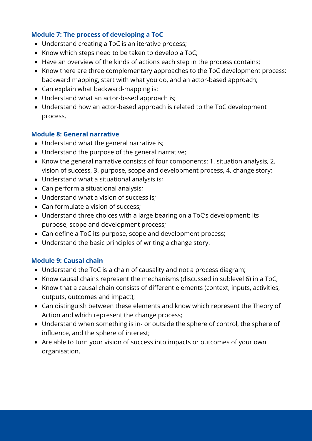#### **Module 7: The process of developing a ToC**

- Understand creating a ToC is an iterative process;
- Know which steps need to be taken to develop a ToC;
- Have an overview of the kinds of actions each step in the process contains;
- Know there are three complementary approaches to the ToC development process: backward mapping, start with what you do, and an actor-based approach;
- Can explain what backward-mapping is;
- Understand what an actor-based approach is;
- Understand how an actor-based approach is related to the ToC development process.

#### **Module 8: General narrative**

- Understand what the general narrative is;
- Understand the purpose of the general narrative;
- Know the general narrative consists of four components: 1. situation analysis, 2. vision of success, 3. purpose, scope and development process, 4. change story;
- Understand what a situational analysis is;
- Can perform a situational analysis;
- Understand what a vision of success is;
- Can formulate a vision of success;
- Understand three choices with a large bearing on a ToC's development: its purpose, scope and development process;
- Can define a ToC its purpose, scope and development process;
- Understand the basic principles of writing a change story.

#### **Module 9: Causal chain**

- Understand the ToC is a chain of causality and not a process diagram;
- Know causal chains represent the mechanisms (discussed in sublevel 6) in a ToC;
- Know that a causal chain consists of different elements (context, inputs, activities, outputs, outcomes and impact);
- Can distinguish between these elements and know which represent the Theory of Action and which represent the change process;
- Understand when something is in- or outside the sphere of control, the sphere of influence, and the sphere of interest;
- Are able to turn your vision of success into impacts or outcomes of your own organisation.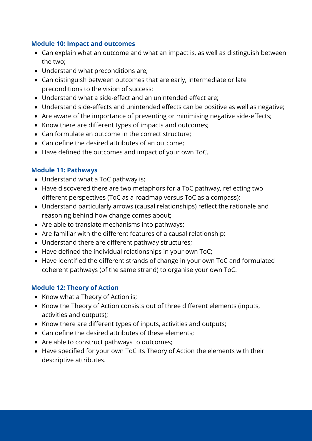#### **Module 10: Impact and outcomes**

- Can explain what an outcome and what an impact is, as well as distinguish between the two;
- Understand what preconditions are;
- Can distinguish between outcomes that are early, intermediate or late preconditions to the vision of success;
- Understand what a side-effect and an unintended effect are;
- Understand side-effects and unintended effects can be positive as well as negative;
- Are aware of the importance of preventing or minimising negative side-effects;
- Know there are different types of impacts and outcomes;
- Can formulate an outcome in the correct structure;
- Can define the desired attributes of an outcome;
- Have defined the outcomes and impact of your own ToC.

#### **Module 11: Pathways**

- Understand what a ToC pathway is;
- Have discovered there are two metaphors for a ToC pathway, reflecting two different perspectives (ToC as a roadmap versus ToC as a compass);
- Understand particularly arrows (causal relationships) reflect the rationale and reasoning behind how change comes about;
- Are able to translate mechanisms into pathways;
- Are familiar with the different features of a causal relationship;
- Understand there are different pathway structures;
- Have defined the individual relationships in your own ToC;
- Have identified the different strands of change in your own ToC and formulated coherent pathways (of the same strand) to organise your own ToC.

#### **Module 12: Theory of Action**

- Know what a Theory of Action is;
- Know the Theory of Action consists out of three different elements (inputs, activities and outputs);
- Know there are different types of inputs, activities and outputs;
- Can define the desired attributes of these elements;
- Are able to construct pathways to outcomes;
- Have specified for your own ToC its Theory of Action the elements with their descriptive attributes.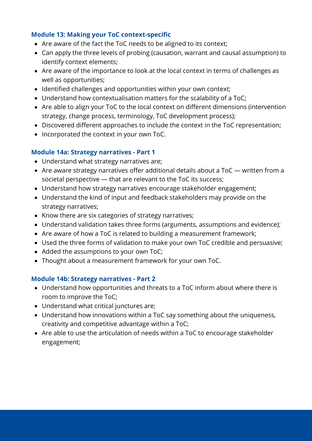#### **Module 13: Making your ToC context-specific**

- Are aware of the fact the ToC needs to be aligned to its context;
- Can apply the three levels of probing (causation, warrant and causal assumption) to identify context elements;
- Are aware of the importance to look at the local context in terms of challenges as well as opportunities;
- Identified challenges and opportunities within your own context;
- Understand how contextualisation matters for the scalability of a ToC;
- Are able to align your ToC to the local context on different dimensions (intervention strategy, change process, terminology, ToC development process);
- Discovered different approaches to include the context in the ToC representation;
- Incorporated the context in your own ToC.

#### **Module 14a: Strategy narratives - Part 1**

- Understand what strategy narratives are;
- Are aware strategy narratives offer additional details about a ToC written from a societal perspective — that are relevant to the ToC its success;
- Understand how strategy narratives encourage stakeholder engagement;
- Understand the kind of input and feedback stakeholders may provide on the strategy narratives;
- Know there are six categories of strategy narratives;
- Understand validation takes three forms (arguments, assumptions and evidence);
- Are aware of how a ToC is related to building a measurement framework;
- Used the three forms of validation to make your own ToC credible and persuasive;
- Added the assumptions to your own ToC;
- Thought about a measurement framework for your own ToC.

#### **Module 14b: Strategy narratives - Part 2**

- Understand how opportunities and threats to a ToC inform about where there is room to improve the ToC;
- Understand what critical junctures are;
- Understand how innovations within a ToC say something about the uniqueness, creativity and competitive advantage within a ToC;
- Are able to use the articulation of needs within a ToC to encourage stakeholder engagement;